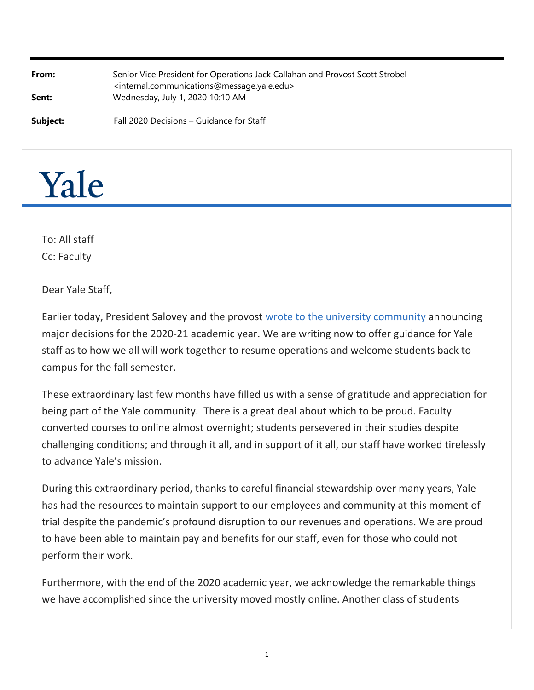| From:<br>Sent: | Senior Vice President for Operations Jack Callahan and Provost Scott Strobel<br><internal.communications@message.yale.edu><br/>Wednesday, July 1, 2020 10:10 AM</internal.communications@message.yale.edu> |
|----------------|------------------------------------------------------------------------------------------------------------------------------------------------------------------------------------------------------------|
| Subject:       | Fall 2020 Decisions - Guidance for Staff                                                                                                                                                                   |



To: All staff Cc: Faculty

Dear Yale Staff,

Earlier today, President Salovey and the provost [wrote to the university community](http://click.message.yale.edu/?qs=7a649f9ed3d2305dc1a5314dcd426ea0c05d95b60edf212fee88e672924c6d2011015c01c0e2f12c6a4687f86ca3fa1206d4ecf20843646b) announcing major decisions for the 2020‐21 academic year. We are writing now to offer guidance for Yale staff as to how we all will work together to resume operations and welcome students back to campus for the fall semester.

These extraordinary last few months have filled us with a sense of gratitude and appreciation for being part of the Yale community. There is a great deal about which to be proud. Faculty converted courses to online almost overnight; students persevered in their studies despite challenging conditions; and through it all, and in support of it all, our staff have worked tirelessly to advance Yale's mission.

During this extraordinary period, thanks to careful financial stewardship over many years, Yale has had the resources to maintain support to our employees and community at this moment of trial despite the pandemic's profound disruption to our revenues and operations. We are proud to have been able to maintain pay and benefits for our staff, even for those who could not perform their work.

Furthermore, with the end of the 2020 academic year, we acknowledge the remarkable things we have accomplished since the university moved mostly online. Another class of students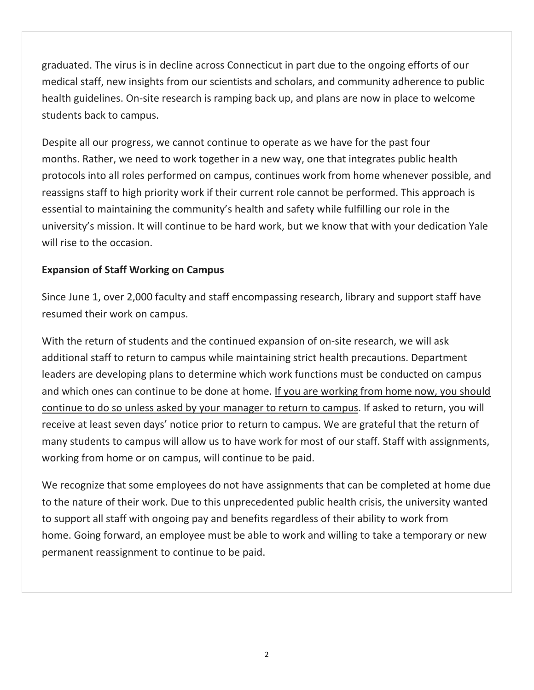graduated. The virus is in decline across Connecticut in part due to the ongoing efforts of our medical staff, new insights from our scientists and scholars, and community adherence to public health guidelines. On-site research is ramping back up, and plans are now in place to welcome students back to campus.

Despite all our progress, we cannot continue to operate as we have for the past four months. Rather, we need to work together in a new way, one that integrates public health protocols into all roles performed on campus, continues work from home whenever possible, and reassigns staff to high priority work if their current role cannot be performed. This approach is essential to maintaining the community's health and safety while fulfilling our role in the university's mission. It will continue to be hard work, but we know that with your dedication Yale will rise to the occasion.

## **Expansion of Staff Working on Campus**

Since June 1, over 2,000 faculty and staff encompassing research, library and support staff have resumed their work on campus.

With the return of students and the continued expansion of on-site research, we will ask additional staff to return to campus while maintaining strict health precautions. Department leaders are developing plans to determine which work functions must be conducted on campus and which ones can continue to be done at home. If you are working from home now, you should continue to do so unless asked by your manager to return to campus. If asked to return, you will receive at least seven days' notice prior to return to campus. We are grateful that the return of many students to campus will allow us to have work for most of our staff. Staff with assignments, working from home or on campus, will continue to be paid.

We recognize that some employees do not have assignments that can be completed at home due to the nature of their work. Due to this unprecedented public health crisis, the university wanted to support all staff with ongoing pay and benefits regardless of their ability to work from home. Going forward, an employee must be able to work and willing to take a temporary or new permanent reassignment to continue to be paid.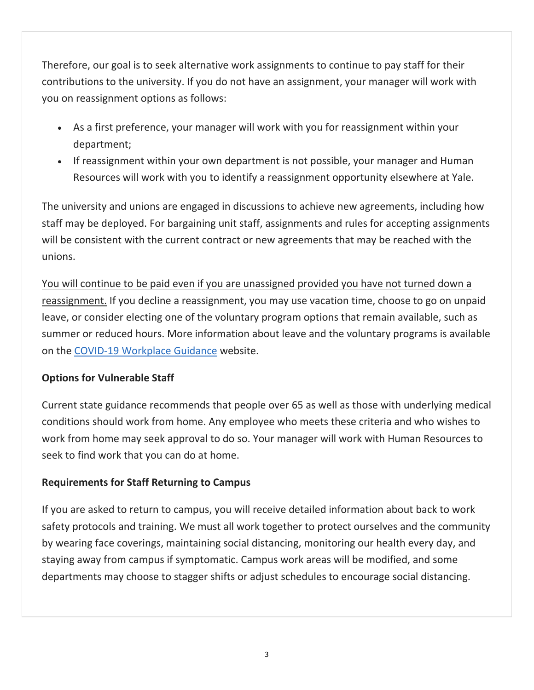Therefore, our goal is to seek alternative work assignments to continue to pay staff for their contributions to the university. If you do not have an assignment, your manager will work with you on reassignment options as follows:

- As a first preference, your manager will work with you for reassignment within your department;
- If reassignment within your own department is not possible, your manager and Human Resources will work with you to identify a reassignment opportunity elsewhere at Yale.

The university and unions are engaged in discussions to achieve new agreements, including how staff may be deployed. For bargaining unit staff, assignments and rules for accepting assignments will be consistent with the current contract or new agreements that may be reached with the unions.

You will continue to be paid even if you are unassigned provided you have not turned down a reassignment. If you decline a reassignment, you may use vacation time, choose to go on unpaid leave, or consider electing one of the voluntary program options that remain available, such as summer or reduced hours. More information about leave and the voluntary programs is available on the [COVID‐19 Workplace Guidance](http://click.message.yale.edu/?qs=7a649f9ed3d2305d51439278d0ab38ddc6b01e38271c7e80b64a2d36a10bc058e61a3f77875bb341cbe30a02435457aad4370c28271d4365) website.

#### **Options for Vulnerable Staff**

Current state guidance recommends that people over 65 as well as those with underlying medical conditions should work from home. Any employee who meets these criteria and who wishes to work from home may seek approval to do so. Your manager will work with Human Resources to seek to find work that you can do at home.

## **Requirements for Staff Returning to Campus**

If you are asked to return to campus, you will receive detailed information about back to work safety protocols and training. We must all work together to protect ourselves and the community by wearing face coverings, maintaining social distancing, monitoring our health every day, and staying away from campus if symptomatic. Campus work areas will be modified, and some departments may choose to stagger shifts or adjust schedules to encourage social distancing.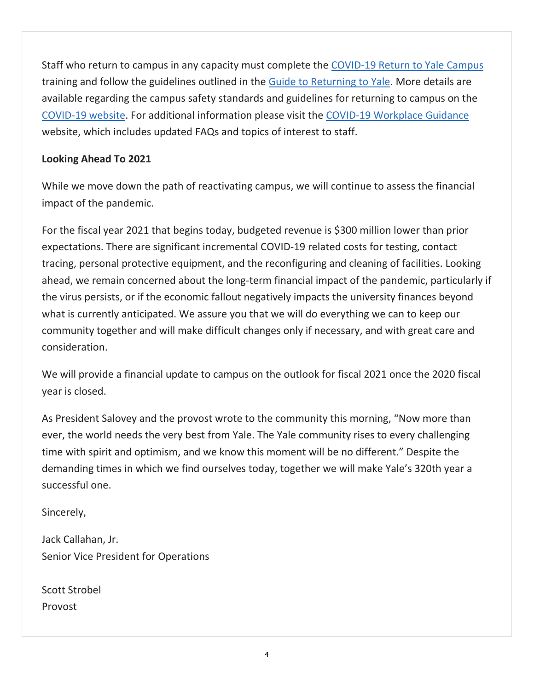Staff who return to campus in any capacity must complete the [COVID‐19 Return to Yale Campus](http://click.message.yale.edu/?qs=7a649f9ed3d2305d47ae86d3b9c5fe10966299a3ed8dc3222ee18ef2909f83054db0514aacb7808c52d7f46bc5e08025745e510597279377) training and follow the guidelines outlined in the [Guide to Returning to Yale](http://click.message.yale.edu/?qs=7a649f9ed3d2305d344c5f097022d32fe6f9784fe27a273be3c2739dcec0737675875e2f6a5b2f611511bf360dda1efe740e1fe994528adc). More details are available regarding the campus safety standards and guidelines for returning to campus on the [COVID‐19 website.](http://click.message.yale.edu/?qs=7a649f9ed3d2305d51439278d0ab38ddc6b01e38271c7e80b64a2d36a10bc058e61a3f77875bb341cbe30a02435457aad4370c28271d4365) For additional information please visit the [COVID‐19 Workplace Guidance](http://click.message.yale.edu/?qs=7a649f9ed3d2305d51439278d0ab38ddc6b01e38271c7e80b64a2d36a10bc058e61a3f77875bb341cbe30a02435457aad4370c28271d4365) website, which includes updated FAQs and topics of interest to staff.

### **Looking Ahead To 2021**

While we move down the path of reactivating campus, we will continue to assess the financial impact of the pandemic.

For the fiscal year 2021 that begins today, budgeted revenue is \$300 million lower than prior expectations. There are significant incremental COVID‐19 related costs for testing, contact tracing, personal protective equipment, and the reconfiguring and cleaning of facilities. Looking ahead, we remain concerned about the long‐term financial impact of the pandemic, particularly if the virus persists, or if the economic fallout negatively impacts the university finances beyond what is currently anticipated. We assure you that we will do everything we can to keep our community together and will make difficult changes only if necessary, and with great care and consideration.

We will provide a financial update to campus on the outlook for fiscal 2021 once the 2020 fiscal year is closed.

As President Salovey and the provost wrote to the community this morning, "Now more than ever, the world needs the very best from Yale. The Yale community rises to every challenging time with spirit and optimism, and we know this moment will be no different." Despite the demanding times in which we find ourselves today, together we will make Yale's 320th year a successful one.

Sincerely,

Jack Callahan, Jr. Senior Vice President for Operations

Scott Strobel Provost